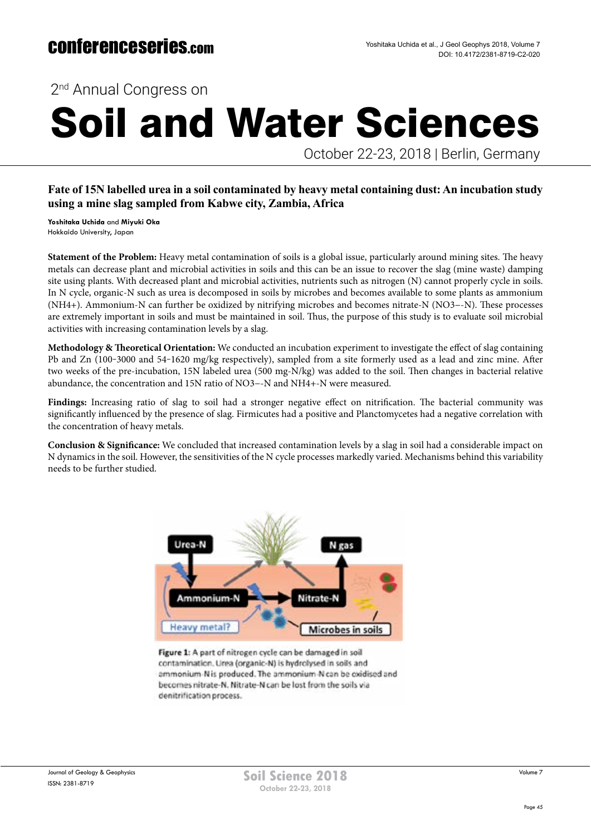2<sup>nd</sup> Annual Congress on

# Soil and Water Sciences

October 22-23, 2018 | Berlin, Germany

### **Fate of 15N labelled urea in a soil contaminated by heavy metal containing dust: An incubation study using a mine slag sampled from Kabwe city, Zambia, Africa**

**Yoshitaka Uchida** and **Miyuki Oka**  Hokkaido University, Japan

**Statement of the Problem:** Heavy metal contamination of soils is a global issue, particularly around mining sites. The heavy metals can decrease plant and microbial activities in soils and this can be an issue to recover the slag (mine waste) damping site using plants. With decreased plant and microbial activities, nutrients such as nitrogen (N) cannot properly cycle in soils. In N cycle, organic-N such as urea is decomposed in soils by microbes and becomes available to some plants as ammonium (NH4+). Ammonium-N can further be oxidized by nitrifying microbes and becomes nitrate-N (NO3−-N). These processes are extremely important in soils and must be maintained in soil. Thus, the purpose of this study is to evaluate soil microbial activities with increasing contamination levels by a slag.

**Methodology & Theoretical Orientation:** We conducted an incubation experiment to investigate the effect of slag containing Pb and Zn (100-3000 and 54-1620 mg/kg respectively), sampled from a site formerly used as a lead and zinc mine. After two weeks of the pre-incubation, 15N labeled urea (500 mg-N/kg) was added to the soil. Then changes in bacterial relative abundance, the concentration and 15N ratio of NO3−-N and NH4+-N were measured.

**Findings:** Increasing ratio of slag to soil had a stronger negative effect on nitrification. The bacterial community was significantly influenced by the presence of slag. Firmicutes had a positive and Planctomycetes had a negative correlation with the concentration of heavy metals.

**Conclusion & Significance:** We concluded that increased contamination levels by a slag in soil had a considerable impact on N dynamics in the soil. However, the sensitivities of the N cycle processes markedly varied. Mechanisms behind this variability needs to be further studied.



Figure 1: A part of nitrogen cycle can be damaged in soil contamination. Urea (organic-N) is hydrolysed in soils and ammonium-N is produced. The ammonium-N can be cxidised and becomes nitrate-N. Nitrate-N can be lost from the soils via denitrification process.